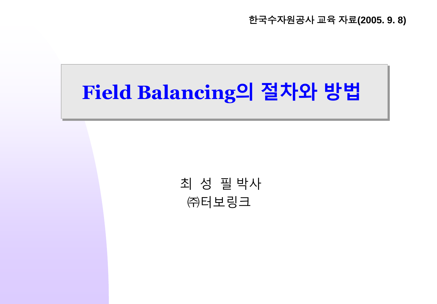한국수자원공사 교육 자료**(2005. 9. 8)**

# **Field Balancing의 절차와 방법**

최 성 필 박사 ㈜터보링크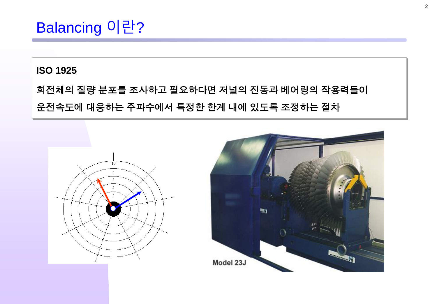### Balancing 이란?

#### **ISO 1925**

#### 회전체의 질량 분포를 조사하고 필요하다면 저널의 진동과 베어링의 작용력들이 운전속도에 대응하는 주파수에서 특정한 한계 내에 있도록 조정하는 절차



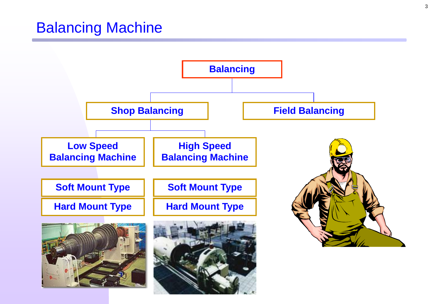### Balancing Machine

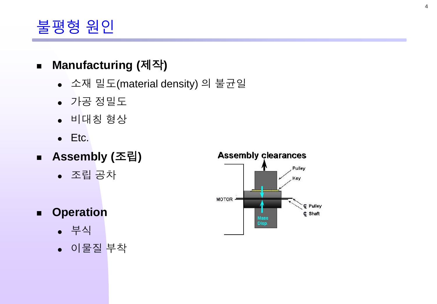### 불평형 원인

#### **Manufacturing (**제작**)**

- 소재 밀도(material density) 의 불균일
- 가공 정밀도
- 비대칭 형상
- Etc.
- **Assembly (**조립**)**
	- 조립 공차
- **Operation**
	- 부식
	- 이물질 부착

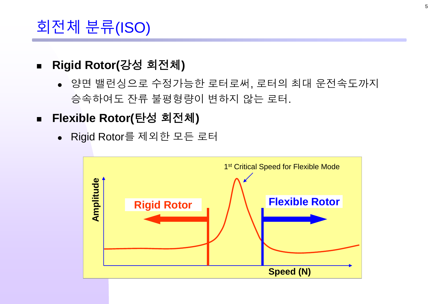### 회전체 분류(ISO)

- **Rigid Rotor(**강성 회전체**)**
	- 양면 밸런싱으로 수정가능한 로터로써, 로터의 최대 운전속도까지 승속하여도 잔류 불평형량이 변하지 않는 로터.
- **Flexible Rotor(**탄성 회전체**)**
	- Rigid Rotor를 제외한 모든 로터

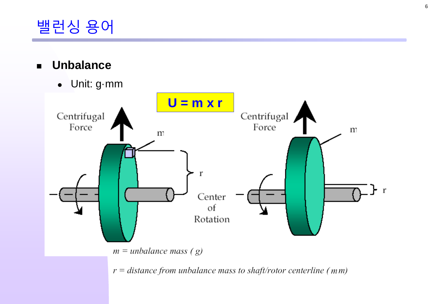### 밸런싱 용어

- **Unbalance**  $\blacksquare$ 
	- Unit: g-mm



 $r = distance from unbalance mass to shaft/rotor centerline (mm)$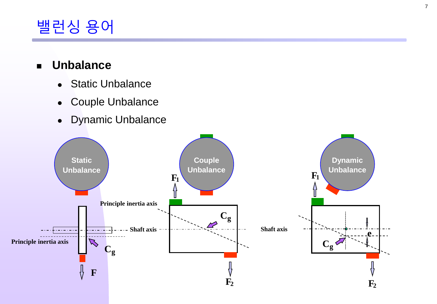### 밸런싱 용어

#### **Unbalance**

- Static Unbalance
- Couple Unbalance
- Dynamic Unbalance

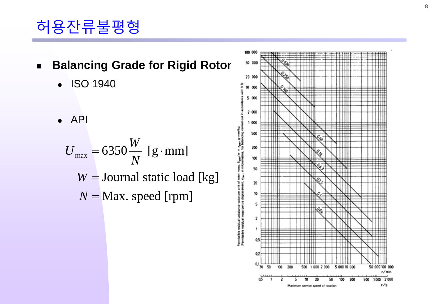## 허용잔류불평형

- **Balancing Grade for Rigid Rotor**
	- ISO 1940

API

$$
U_{\text{max}} = 6350 \frac{W}{N} \text{ [g·mm]}
$$
  
W = Journal static load [kg]  

$$
N = \text{Max. speed [rpm]}
$$

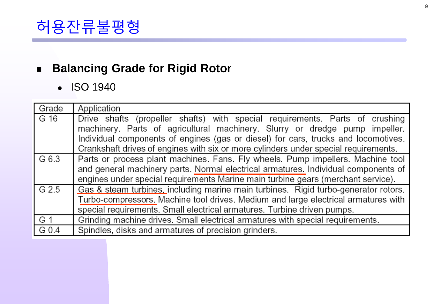### 허용잔류불평형

#### **Balancing Grade for Rigid Rotor**

• ISO 1940

| Grade | Application                                                                                                                                                                                                                                                                                                                              |  |  |  |
|-------|------------------------------------------------------------------------------------------------------------------------------------------------------------------------------------------------------------------------------------------------------------------------------------------------------------------------------------------|--|--|--|
| G 16  | Drive shafts (propeller shafts) with special requirements. Parts of crushing<br>machinery. Parts of agricultural machinery. Slurry or dredge pump impeller.<br>Individual components of engines (gas or diesel) for cars, trucks and locomotives.<br>Crankshaft drives of engines with six or more cylinders under special requirements. |  |  |  |
| G 6.3 | Parts or process plant machines. Fans. Fly wheels. Pump impellers. Machine tool<br>and general machinery parts. Normal electrical armatures. Individual components of<br>engines under special requirements Marine main turbine gears (merchant service).                                                                                |  |  |  |
| G 2.5 | Gas & steam turbines, including marine main turbines. Rigid turbo-generator rotors.<br>Turbo-compressors. Machine tool drives. Medium and large electrical armatures with<br>special requirements. Small electrical armatures. Turbine driven pumps.                                                                                     |  |  |  |
| G 1   | Grinding machine drives. Small electrical armatures with special requirements.                                                                                                                                                                                                                                                           |  |  |  |
| G 0.4 | Spindles, disks and armatures of precision grinders.                                                                                                                                                                                                                                                                                     |  |  |  |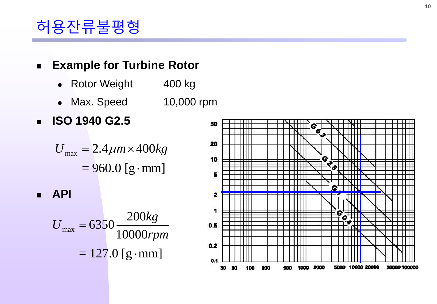### 허용잔류불평형

#### **Example for Turbine Rotor**

- Rotor Weight 400 kg
- Max. Speed 10,000 rpm
- **ISO 1940 G2.5**

$$
U_{\text{max}} = 2.4 \mu m \times 400 kg
$$

$$
= 960.0 \text{ [g·mm]}
$$

**API**

$$
U_{\text{max}} = 6350 \frac{200kg}{10000rpm}
$$

$$
= 127.0 \text{ [g·mm]}
$$

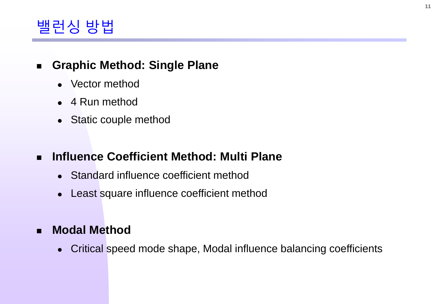### 밸런싱 방법

#### **Graphic Method: Single Plane**

- Vector method
- 4 Run method
- Static couple method

#### **Influence Coefficient Method: Multi Plane**

- Standard influence coefficient method
- Least square influence coefficient method

#### **Modal Method**

Critical speed mode shape, Modal influence balancing coefficients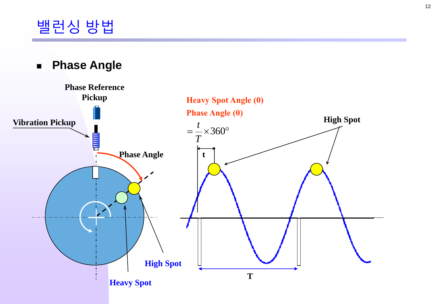#### **Phase Angle**

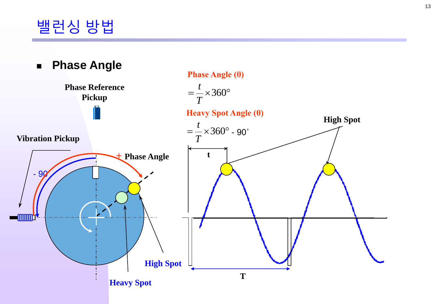### 밸런싱 방법

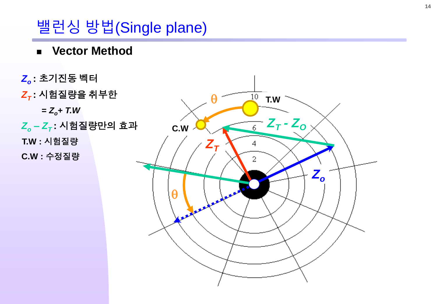### 밸런싱 방법(Single plane)

**Vector Method**

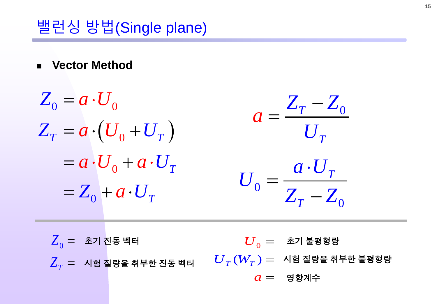### 밸런싱 방법(Single plane)

**Vector Method**

$$
Z_0 = a \cdot U_0
$$
  
\n
$$
Z_T = a \cdot (U_0 + U_T)
$$
  
\n
$$
= a \cdot U_0 + a \cdot U_T
$$
  
\n
$$
= Z_0 + a \cdot U_T
$$
  
\n
$$
U_0 = \frac{a \cdot U_T}{Z_T - Z_0}
$$

 $\overline{Z}_0$  =  $\,$  초기 진동 벡터  $\text{\sf Z}_{_{T}}=\text{\sf Z}$  시험 질량을 취부한 진동 벡터  $\overline{U}_0 =$  초기 불평형량  $\overline{U}_T^{}(W_T^{}) =~$  시험 질량을 취부한 불평형량  $a =$  영향계수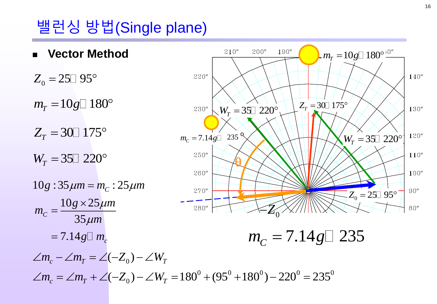### 밸런싱 방법(Single plane)

 **Vector Method**  $Z_0 = 25 \square 95^{\circ}$  $Z_T = 30 \square 175^{\circ}$  $W_r = 35 \square 220^{\circ}$  $m_T = 10 g \Box 180^\circ$ <br>  $Z_T = 30 \Box 175^\circ$ <br>  $W_T = 35 \Box 220^\circ$  $10g : 35 \mu m = m_c : 25 \mu m$  $10 g \times 25$  $\frac{c}{35}$  $= 7.14g \Box m_c$  $g \times 25 \mu m$ *m m*  $\mu$  $\mu$ i  $\times$ =  $55 \mu m$ <br>=  $7.14 g \Box m_c$ <br> $\angle m_c - \angle m_T = \angle (-Z_0) - \angle W_T$ 



$$
m_{C}=7.14g\Box 235
$$

0 <sub>0</sub>) –  $\angle W_T$ <br><sub>0</sub>) –  $\angle W_T$  = 180<sup>0</sup> + (95<sup>0</sup> + 180<sup>0</sup>) – 220<sup>0</sup> = 235<sup>0</sup>  $m_c = 7.14 g \square m_c$ <br>  $\angle m_c - \angle m_T = \angle (-Z_0) - \angle W_T$ <br>  $\angle m_c = \angle m_T + \angle (-Z_0) - \angle W_T = 180^\circ + (95^\circ + 180^\circ) - 220^\circ = 235^\circ$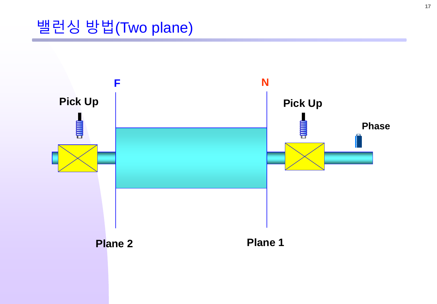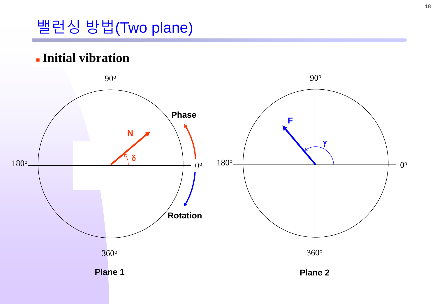### **Initial vibration**

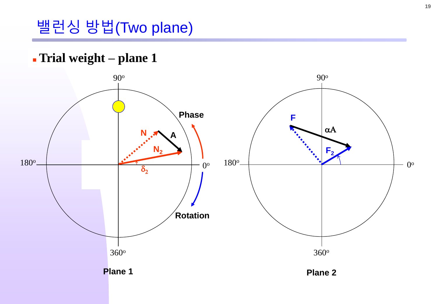#### - Trial weight - plane 1

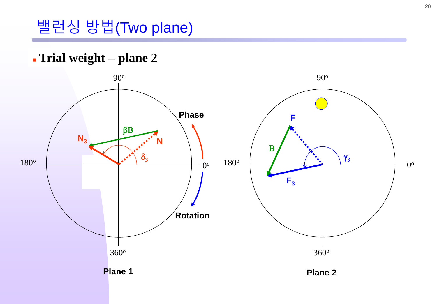#### - Trial weight - plane 2

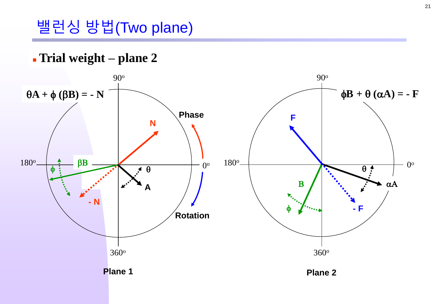#### **Trial weight – plane 2**

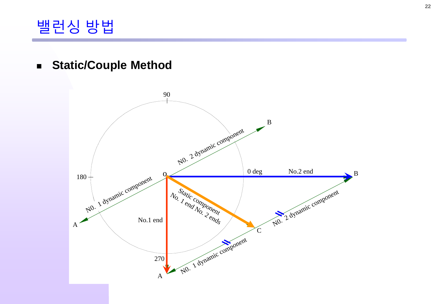### 밸런싱 방법

**Static/Couple Method**

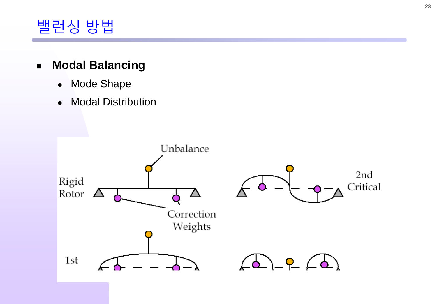

#### **Modal Balancing**

- Mode Shape
- Modal Distribution

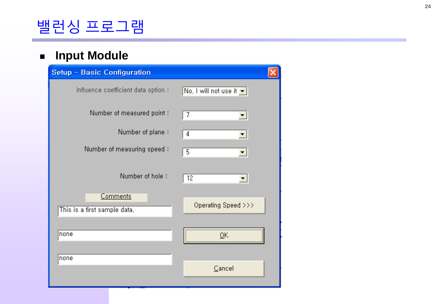#### **F** Input Module

| <b>Setup - Basic Configuration</b>              |                                             |
|-------------------------------------------------|---------------------------------------------|
| Influence coefficient data option :             | No, I will not use it $\blacktriangleright$ |
| Number of measured point:                       | 7                                           |
| Number of plane:                                | 4                                           |
| Number of measuring speed:                      | 5                                           |
| Number of hole:                                 | 12                                          |
| <b>Comments</b><br>This is a first sample data, | Operating Speed >>>                         |
| none                                            |                                             |
| none                                            |                                             |
|                                                 | Cancel                                      |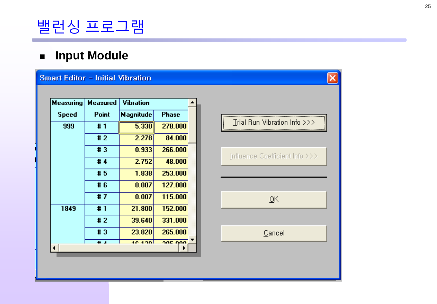#### **F** Input Module

#### **Smart Editor - Initial Vibration**

| Measuring    | Measured | Vibration |              |  |
|--------------|----------|-----------|--------------|--|
| <b>Speed</b> | Point    | Magnitude | <b>Phase</b> |  |
| 999          | #1       | 5.330     | 278,000      |  |
|              | #2       | 2.278     | 84.000       |  |
|              | #3       | 0.933     | 266,000      |  |
|              | #4       | 2.752     | 48.000       |  |
|              | #5       | 1.838     | 253.000      |  |
|              | #6       | 0.007     | 127.000      |  |
|              | #7       | 0.007     | 115,000      |  |
| 1849         | #1       | 21.800    | 152.000      |  |
|              | #2       | 39.640    | 331.000      |  |
|              | #3       | 23.820    | 265.000      |  |
|              | . .      | 10.190    | anc non      |  |

| Influence Coefficient Info >>> |
|--------------------------------|
|                                |
|                                |
|                                |
|                                |
| QK                             |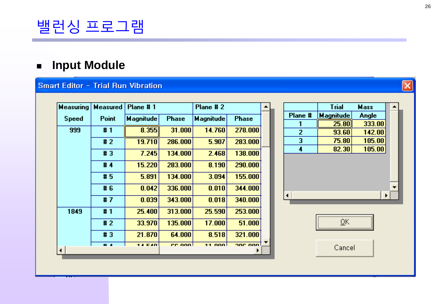#### **Input Module**

#### Smart Editor - Trial Run Vibration

| <b>Measuring</b> | <b>Measured</b> | Plane #1         |              | Plane #2         |              |  |
|------------------|-----------------|------------------|--------------|------------------|--------------|--|
| <b>Speed</b>     | <b>Point</b>    | <b>Magnitude</b> | <b>Phase</b> | <b>Magnitude</b> | <b>Phase</b> |  |
| 999              | #1              | 8.355            | 31.000       | 14.760           | 278.000      |  |
|                  | #2              | 19.710           | 286.000      | 5.907            | 283.000      |  |
|                  | #3              | 7.245            | 134.000      | 2.468            | 138.000      |  |
|                  | #4              | 15.220           | 283.000      | 8.190            | 290.000      |  |
|                  | #5              | 5.891            | 134.000      | 3.094            | 155.000      |  |
|                  | #6              | 0.042            | 336.000      | 0.010            | 344.000      |  |
|                  | #7              | 0.039            | 343.000      | 0.018            | 340.000      |  |
| 1849             | #1              | 25.400           | 313.000      | 25.590           | 253.000      |  |
|                  | #2              | 33.970           | 135.000      | 17.000           | 51.000       |  |
|                  | #3              | 21.870           | 64.000       | 8.518            | 321.000      |  |
| ◂                | $\overline{a}$  | 13.040           | ee oool      | 11.000.          | ane non      |  |

|         | <b>Trial</b> | <b>Mass</b> |  |
|---------|--------------|-------------|--|
| Plane # | Magnitude    | Angle       |  |
|         | 25.80        | 333.00      |  |
| 2       | 93.60        | 142.00      |  |
| 3       | 75.80        | 105.00      |  |
| 4       | 82.30        | 105.00      |  |
|         |              |             |  |
|         |              |             |  |



 $\overline{\mathsf{x}}$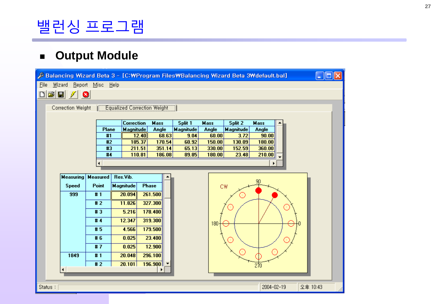#### **Output Module**

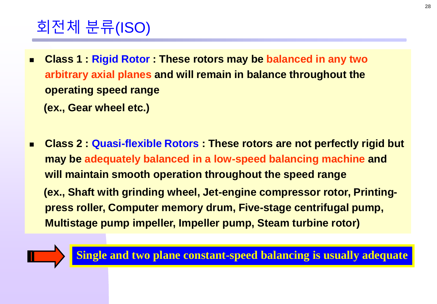## 회전체 분류(ISO)

 **Class 1 : Rigid Rotor : These rotors may be balanced in any two arbitrary axial planes and will remain in balance throughout the operating speed range** 

**(ex., Gear wheel etc.)**

 **Class 2 : Quasi-flexible Rotors : These rotors are not perfectly rigid but may be adequately balanced in a low-speed balancing machine and will maintain smooth operation throughout the speed range (ex., Shaft with grinding wheel, Jet-engine compressor rotor, Printingpress roller, Computer memory drum, Five-stage centrifugal pump, Multistage pump impeller, Impeller pump, Steam turbine rotor)**

**Single and two plane constant-speed balancing is usually adequate**